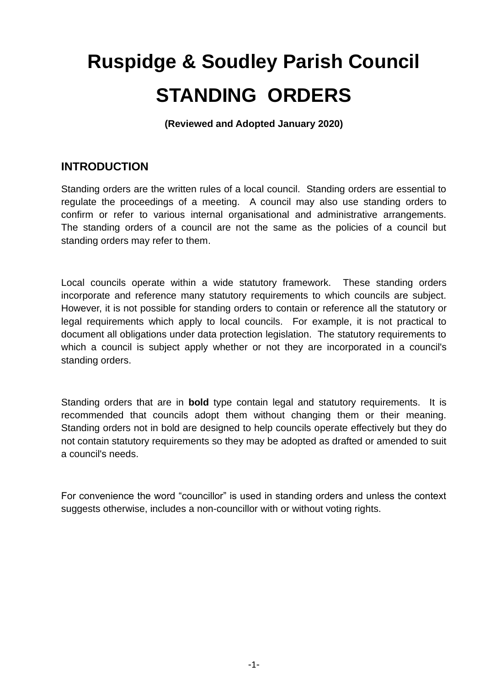# **Ruspidge & Soudley Parish Council STANDING ORDERS**

**(Reviewed and Adopted January 2020)**

# **INTRODUCTION**

Standing orders are the written rules of a local council. Standing orders are essential to regulate the proceedings of a meeting. A council may also use standing orders to confirm or refer to various internal organisational and administrative arrangements. The standing orders of a council are not the same as the policies of a council but standing orders may refer to them.

Local councils operate within a wide statutory framework. These standing orders incorporate and reference many statutory requirements to which councils are subject. However, it is not possible for standing orders to contain or reference all the statutory or legal requirements which apply to local councils. For example, it is not practical to document all obligations under data protection legislation. The statutory requirements to which a council is subject apply whether or not they are incorporated in a council's standing orders.

Standing orders that are in **bold** type contain legal and statutory requirements. It is recommended that councils adopt them without changing them or their meaning. Standing orders not in bold are designed to help councils operate effectively but they do not contain statutory requirements so they may be adopted as drafted or amended to suit a council's needs.

For convenience the word "councillor" is used in standing orders and unless the context suggests otherwise, includes a non-councillor with or without voting rights.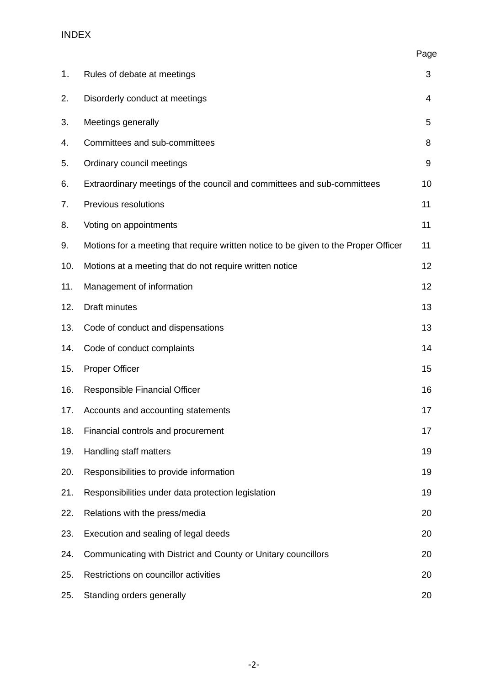# INDEX

| 1.  | Rules of debate at meetings                                                         | 3  |
|-----|-------------------------------------------------------------------------------------|----|
| 2.  | Disorderly conduct at meetings                                                      | 4  |
| 3.  | Meetings generally                                                                  | 5  |
| 4.  | Committees and sub-committees                                                       | 8  |
| 5.  | Ordinary council meetings                                                           | 9  |
| 6.  | Extraordinary meetings of the council and committees and sub-committees             | 10 |
| 7.  | Previous resolutions                                                                | 11 |
| 8.  | Voting on appointments                                                              | 11 |
| 9.  | Motions for a meeting that require written notice to be given to the Proper Officer | 11 |
| 10. | Motions at a meeting that do not require written notice                             | 12 |
| 11. | Management of information                                                           | 12 |
| 12. | Draft minutes                                                                       | 13 |
| 13. | Code of conduct and dispensations                                                   | 13 |
| 14. | Code of conduct complaints                                                          | 14 |
| 15. | <b>Proper Officer</b>                                                               | 15 |
| 16. | Responsible Financial Officer                                                       | 16 |
| 17. | Accounts and accounting statements                                                  | 17 |
| 18. | Financial controls and procurement                                                  | 17 |
| 19. | Handling staff matters                                                              | 19 |
| 20. | Responsibilities to provide information                                             | 19 |
| 21. | Responsibilities under data protection legislation                                  | 19 |
| 22. | Relations with the press/media                                                      | 20 |
| 23. | Execution and sealing of legal deeds                                                | 20 |
| 24. | Communicating with District and County or Unitary councillors                       | 20 |
| 25. | Restrictions on councillor activities                                               | 20 |
| 25. | Standing orders generally                                                           | 20 |

Page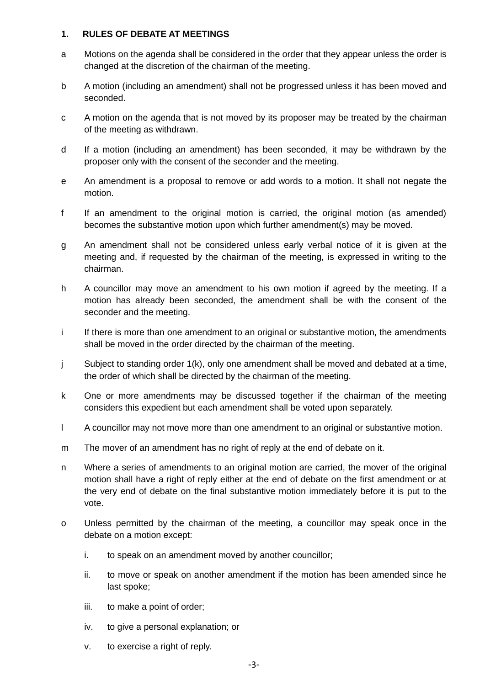#### **1. RULES OF DEBATE AT MEETINGS**

- a Motions on the agenda shall be considered in the order that they appear unless the order is changed at the discretion of the chairman of the meeting.
- b A motion (including an amendment) shall not be progressed unless it has been moved and seconded.
- c A motion on the agenda that is not moved by its proposer may be treated by the chairman of the meeting as withdrawn.
- d If a motion (including an amendment) has been seconded, it may be withdrawn by the proposer only with the consent of the seconder and the meeting.
- e An amendment is a proposal to remove or add words to a motion. It shall not negate the motion.
- f If an amendment to the original motion is carried, the original motion (as amended) becomes the substantive motion upon which further amendment(s) may be moved.
- g An amendment shall not be considered unless early verbal notice of it is given at the meeting and, if requested by the chairman of the meeting, is expressed in writing to the chairman.
- h A councillor may move an amendment to his own motion if agreed by the meeting. If a motion has already been seconded, the amendment shall be with the consent of the seconder and the meeting.
- i If there is more than one amendment to an original or substantive motion, the amendments shall be moved in the order directed by the chairman of the meeting.
- j Subject to standing order 1(k), only one amendment shall be moved and debated at a time, the order of which shall be directed by the chairman of the meeting.
- k One or more amendments may be discussed together if the chairman of the meeting considers this expedient but each amendment shall be voted upon separately.
- l A councillor may not move more than one amendment to an original or substantive motion.
- m The mover of an amendment has no right of reply at the end of debate on it.
- n Where a series of amendments to an original motion are carried, the mover of the original motion shall have a right of reply either at the end of debate on the first amendment or at the very end of debate on the final substantive motion immediately before it is put to the vote.
- o Unless permitted by the chairman of the meeting, a councillor may speak once in the debate on a motion except:
	- i. to speak on an amendment moved by another councillor;
	- ii. to move or speak on another amendment if the motion has been amended since he last spoke;
	- iii. to make a point of order;
	- iv. to give a personal explanation; or
	- v. to exercise a right of reply.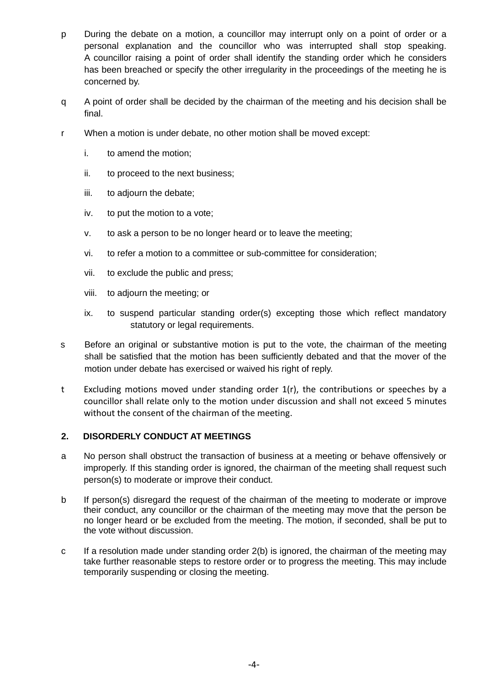- p During the debate on a motion, a councillor may interrupt only on a point of order or a personal explanation and the councillor who was interrupted shall stop speaking. A councillor raising a point of order shall identify the standing order which he considers has been breached or specify the other irregularity in the proceedings of the meeting he is concerned by.
- q A point of order shall be decided by the chairman of the meeting and his decision shall be final.
- r When a motion is under debate, no other motion shall be moved except:
	- i. to amend the motion;
	- ii. to proceed to the next business;
	- iii. to adjourn the debate;
	- iv. to put the motion to a vote;
	- v. to ask a person to be no longer heard or to leave the meeting;
	- vi. to refer a motion to a committee or sub-committee for consideration;
	- vii. to exclude the public and press;
	- viii. to adjourn the meeting; or
	- ix. to suspend particular standing order(s) excepting those which reflect mandatory statutory or legal requirements.
- s Before an original or substantive motion is put to the vote, the chairman of the meeting shall be satisfied that the motion has been sufficiently debated and that the mover of the motion under debate has exercised or waived his right of reply.
- t Excluding motions moved under standing order 1(r), the contributions or speeches by a councillor shall relate only to the motion under discussion and shall not exceed 5 minutes without the consent of the chairman of the meeting.

# **2. DISORDERLY CONDUCT AT MEETINGS**

- a No person shall obstruct the transaction of business at a meeting or behave offensively or improperly. If this standing order is ignored, the chairman of the meeting shall request such person(s) to moderate or improve their conduct.
- b If person(s) disregard the request of the chairman of the meeting to moderate or improve their conduct, any councillor or the chairman of the meeting may move that the person be no longer heard or be excluded from the meeting. The motion, if seconded, shall be put to the vote without discussion.
- c If a resolution made under standing order 2(b) is ignored, the chairman of the meeting may take further reasonable steps to restore order or to progress the meeting. This may include temporarily suspending or closing the meeting.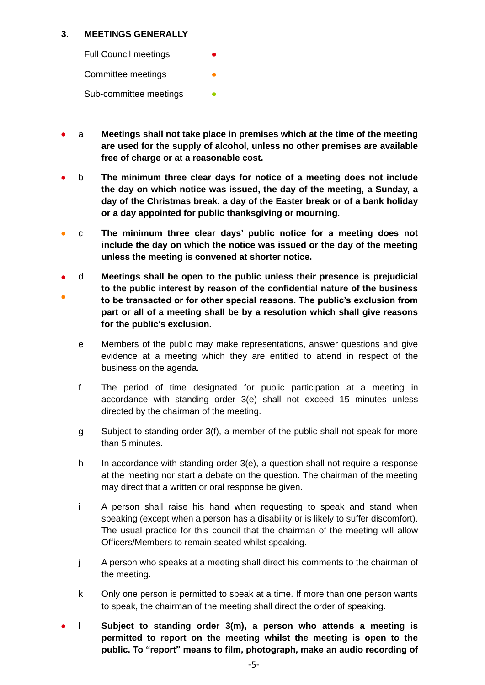# **3. MEETINGS GENERALLY**

**Full Council meetings** 

Committee meetings

Sub-committee meetings

- a **Meetings shall not take place in premises which at the time of the meeting are used for the supply of alcohol, unless no other premises are available free of charge or at a reasonable cost.**
- b **The minimum three clear days for notice of a meeting does not include the day on which notice was issued, the day of the meeting, a Sunday, a day of the Christmas break, a day of the Easter break or of a bank holiday or a day appointed for public thanksgiving or mourning.**
- c **The minimum three clear days' public notice for a meeting does not include the day on which the notice was issued or the day of the meeting unless the meeting is convened at shorter notice.**
- ● d **Meetings shall be open to the public unless their presence is prejudicial to the public interest by reason of the confidential nature of the business to be transacted or for other special reasons. The public's exclusion from part or all of a meeting shall be by a resolution which shall give reasons for the public's exclusion.**
	- e Members of the public may make representations, answer questions and give evidence at a meeting which they are entitled to attend in respect of the business on the agenda.
	- f The period of time designated for public participation at a meeting in accordance with standing order 3(e) shall not exceed 15 minutes unless directed by the chairman of the meeting.
	- g Subject to standing order 3(f), a member of the public shall not speak for more than 5 minutes.
	- h In accordance with standing order 3(e), a question shall not require a response at the meeting nor start a debate on the question. The chairman of the meeting may direct that a written or oral response be given.
	- i A person shall raise his hand when requesting to speak and stand when speaking (except when a person has a disability or is likely to suffer discomfort). The usual practice for this council that the chairman of the meeting will allow Officers/Members to remain seated whilst speaking.
	- j A person who speaks at a meeting shall direct his comments to the chairman of the meeting.
	- k Only one person is permitted to speak at a time. If more than one person wants to speak, the chairman of the meeting shall direct the order of speaking.
- l **Subject to standing order 3(m), a person who attends a meeting is permitted to report on the meeting whilst the meeting is open to the public. To "report" means to film, photograph, make an audio recording of**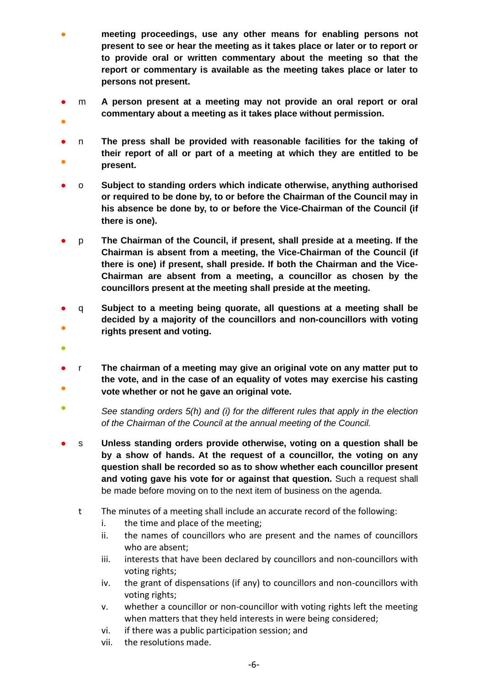- meeting proceedings, use any other means for enabling persons not **present to see or hear the meeting as it takes place or later or to report or to provide oral or written commentary about the meeting so that the report or commentary is available as the meeting takes place or later to persons not present.**
- m **A person present at a meeting may not provide an oral report or oral commentary about a meeting as it takes place without permission.**
- ●
- ● n **The press shall be provided with reasonable facilities for the taking of their report of all or part of a meeting at which they are entitled to be present.**
- o **Subject to standing orders which indicate otherwise, anything authorised or required to be done by, to or before the Chairman of the Council may in his absence be done by, to or before the Vice-Chairman of the Council (if there is one).**
- p **The Chairman of the Council, if present, shall preside at a meeting. If the Chairman is absent from a meeting, the Vice-Chairman of the Council (if there is one) if present, shall preside. If both the Chairman and the Vice-Chairman are absent from a meeting, a councillor as chosen by the councillors present at the meeting shall preside at the meeting.**
- $\bullet$ q **Subject to a meeting being quorate, all questions at a meeting shall be decided by a majority of the councillors and non-councillors with voting rights present and voting.**
- ●
- ● r **The chairman of a meeting may give an original vote on any matter put to the vote, and in the case of an equality of votes may exercise his casting vote whether or not he gave an original vote.**
- $\bullet$ *See standing orders 5(h) and (i) for the different rules that apply in the election of the Chairman of the Council at the annual meeting of the Council.*
- s **Unless standing orders provide otherwise, voting on a question shall be by a show of hands. At the request of a councillor, the voting on any question shall be recorded so as to show whether each councillor present and voting gave his vote for or against that question.** Such a request shall be made before moving on to the next item of business on the agenda.
	- t The minutes of a meeting shall include an accurate record of the following:
		- i. the time and place of the meeting;
		- ii. the names of councillors who are present and the names of councillors who are absent;
		- iii. interests that have been declared by councillors and non-councillors with voting rights;
		- iv. the grant of dispensations (if any) to councillors and non-councillors with voting rights;
		- v. whether a councillor or non-councillor with voting rights left the meeting when matters that they held interests in were being considered;
		- vi. if there was a public participation session; and
		- vii. the resolutions made.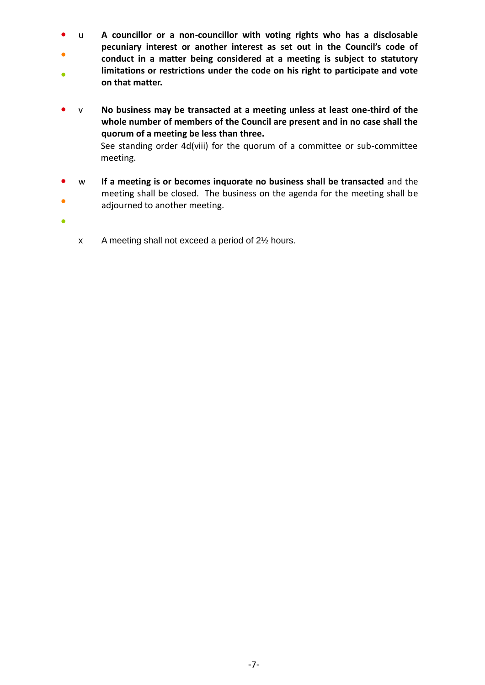- u **A councillor or a non-councillor with voting rights who has a disclosable pecuniary interest or another interest as set out in the Council's code of**
- $\bullet$ ● **conduct in a matter being considered at a meeting is subject to statutory limitations or restrictions under the code on his right to participate and vote on that matter.**
- v **No business may be transacted at a meeting unless at least one-third of the whole number of members of the Council are present and in no case shall the quorum of a meeting be less than three.** See standing order 4d(viii) for the quorum of a committee or sub-committee meeting.
- ● w **If a meeting is or becomes inquorate no business shall be transacted** and the meeting shall be closed. The business on the agenda for the meeting shall be adjourned to another meeting.
- - x A meeting shall not exceed a period of 2½ hours.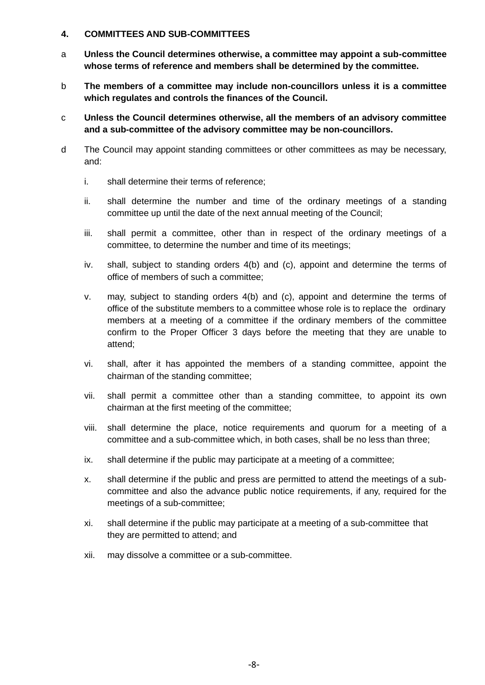#### **4. COMMITTEES AND SUB-COMMITTEES**

- a **Unless the Council determines otherwise, a committee may appoint a sub-committee whose terms of reference and members shall be determined by the committee.**
- b **The members of a committee may include non-councillors unless it is a committee which regulates and controls the finances of the Council.**
- c **Unless the Council determines otherwise, all the members of an advisory committee and a sub-committee of the advisory committee may be non-councillors.**
- d The Council may appoint standing committees or other committees as may be necessary, and:
	- i. shall determine their terms of reference;
	- ii. shall determine the number and time of the ordinary meetings of a standing committee up until the date of the next annual meeting of the Council;
	- iii. shall permit a committee, other than in respect of the ordinary meetings of a committee, to determine the number and time of its meetings;
	- iv. shall, subject to standing orders 4(b) and (c), appoint and determine the terms of office of members of such a committee;
	- v. may, subject to standing orders 4(b) and (c), appoint and determine the terms of office of the substitute members to a committee whose role is to replace the ordinary members at a meeting of a committee if the ordinary members of the committee confirm to the Proper Officer 3 days before the meeting that they are unable to attend;
	- vi. shall, after it has appointed the members of a standing committee, appoint the chairman of the standing committee;
	- vii. shall permit a committee other than a standing committee, to appoint its own chairman at the first meeting of the committee;
	- viii. shall determine the place, notice requirements and quorum for a meeting of a committee and a sub-committee which, in both cases, shall be no less than three;
	- ix. shall determine if the public may participate at a meeting of a committee;
	- x. shall determine if the public and press are permitted to attend the meetings of a subcommittee and also the advance public notice requirements, if any, required for the meetings of a sub-committee;
	- xi. shall determine if the public may participate at a meeting of a sub-committee that they are permitted to attend; and
	- xii. may dissolve a committee or a sub-committee.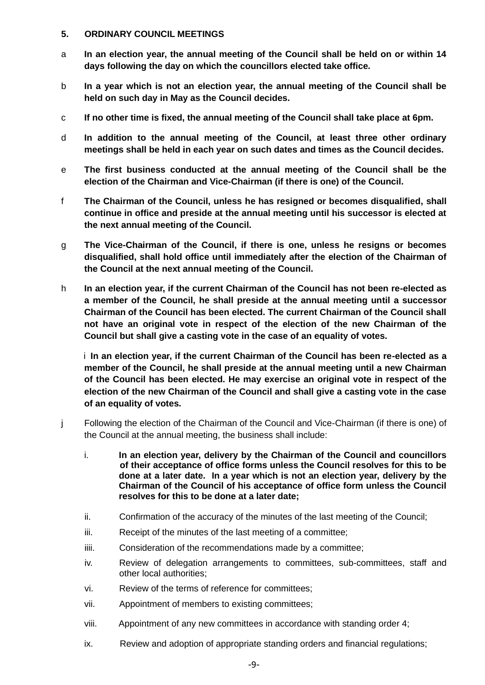# **5. ORDINARY COUNCIL MEETINGS**

- a **In an election year, the annual meeting of the Council shall be held on or within 14 days following the day on which the councillors elected take office.**
- b **In a year which is not an election year, the annual meeting of the Council shall be held on such day in May as the Council decides.**
- c **If no other time is fixed, the annual meeting of the Council shall take place at 6pm.**
- d **In addition to the annual meeting of the Council, at least three other ordinary meetings shall be held in each year on such dates and times as the Council decides.**
- e **The first business conducted at the annual meeting of the Council shall be the election of the Chairman and Vice-Chairman (if there is one) of the Council.**
- f **The Chairman of the Council, unless he has resigned or becomes disqualified, shall continue in office and preside at the annual meeting until his successor is elected at the next annual meeting of the Council.**
- g **The Vice-Chairman of the Council, if there is one, unless he resigns or becomes disqualified, shall hold office until immediately after the election of the Chairman of the Council at the next annual meeting of the Council.**
- h **In an election year, if the current Chairman of the Council has not been re-elected as a member of the Council, he shall preside at the annual meeting until a successor Chairman of the Council has been elected. The current Chairman of the Council shall not have an original vote in respect of the election of the new Chairman of the Council but shall give a casting vote in the case of an equality of votes.**

i **In an election year, if the current Chairman of the Council has been re-elected as a member of the Council, he shall preside at the annual meeting until a new Chairman of the Council has been elected. He may exercise an original vote in respect of the election of the new Chairman of the Council and shall give a casting vote in the case of an equality of votes.**

- j Following the election of the Chairman of the Council and Vice-Chairman (if there is one) of the Council at the annual meeting, the business shall include:
	- i. **In an election year, delivery by the Chairman of the Council and councillors of their acceptance of office forms unless the Council resolves for this to be done at a later date. In a year which is not an election year, delivery by the Chairman of the Council of his acceptance of office form unless the Council resolves for this to be done at a later date;**
	- ii. Confirmation of the accuracy of the minutes of the last meeting of the Council;
	- iii. Receipt of the minutes of the last meeting of a committee;
	- iiii. Consideration of the recommendations made by a committee;
	- iv. Review of delegation arrangements to committees, sub-committees, staff and other local authorities;
	- vi. Review of the terms of reference for committees;
	- vii. Appointment of members to existing committees;
	- viii. Appointment of any new committees in accordance with standing order 4;
	- ix. Review and adoption of appropriate standing orders and financial regulations;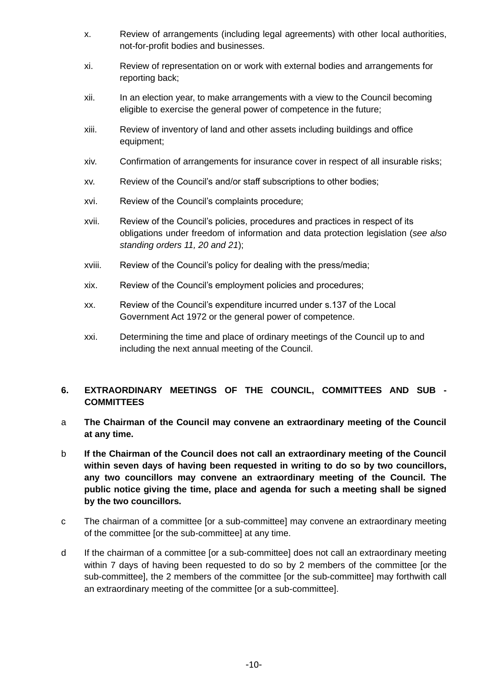- x. Review of arrangements (including legal agreements) with other local authorities, not-for-profit bodies and businesses.
- xi. Review of representation on or work with external bodies and arrangements for reporting back;
- xii. In an election year, to make arrangements with a view to the Council becoming eligible to exercise the general power of competence in the future;
- xiii. Review of inventory of land and other assets including buildings and office equipment;
- xiv. Confirmation of arrangements for insurance cover in respect of all insurable risks;
- xv. Review of the Council's and/or staff subscriptions to other bodies;
- xvi. Review of the Council's complaints procedure;
- xvii. Review of the Council's policies, procedures and practices in respect of its obligations under freedom of information and data protection legislation (*see also standing orders 11, 20 and 21*);
- xviii. Review of the Council's policy for dealing with the press/media;
- xix. Review of the Council's employment policies and procedures;
- xx. Review of the Council's expenditure incurred under s.137 of the Local Government Act 1972 or the general power of competence.
- xxi. Determining the time and place of ordinary meetings of the Council up to and including the next annual meeting of the Council.

# **6. EXTRAORDINARY MEETINGS OF THE COUNCIL, COMMITTEES AND SUB - COMMITTEES**

- a **The Chairman of the Council may convene an extraordinary meeting of the Council at any time.**
- b **If the Chairman of the Council does not call an extraordinary meeting of the Council within seven days of having been requested in writing to do so by two councillors, any two councillors may convene an extraordinary meeting of the Council. The public notice giving the time, place and agenda for such a meeting shall be signed by the two councillors.**
- c The chairman of a committee [or a sub-committee] may convene an extraordinary meeting of the committee [or the sub-committee] at any time.
- d If the chairman of a committee [or a sub-committee] does not call an extraordinary meeting within 7 days of having been requested to do so by 2 members of the committee [or the sub-committee], the 2 members of the committee [or the sub-committee] may forthwith call an extraordinary meeting of the committee [or a sub-committee].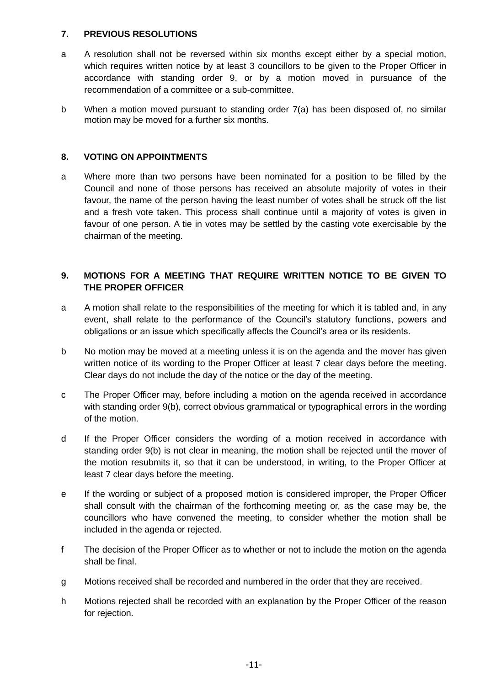# **7. PREVIOUS RESOLUTIONS**

- a A resolution shall not be reversed within six months except either by a special motion, which requires written notice by at least 3 councillors to be given to the Proper Officer in accordance with standing order 9, or by a motion moved in pursuance of the recommendation of a committee or a sub-committee.
- b When a motion moved pursuant to standing order 7(a) has been disposed of, no similar motion may be moved for a further six months.

# **8. VOTING ON APPOINTMENTS**

a Where more than two persons have been nominated for a position to be filled by the Council and none of those persons has received an absolute majority of votes in their favour, the name of the person having the least number of votes shall be struck off the list and a fresh vote taken. This process shall continue until a majority of votes is given in favour of one person. A tie in votes may be settled by the casting vote exercisable by the chairman of the meeting.

# **9. MOTIONS FOR A MEETING THAT REQUIRE WRITTEN NOTICE TO BE GIVEN TO THE PROPER OFFICER**

- a A motion shall relate to the responsibilities of the meeting for which it is tabled and, in any event, shall relate to the performance of the Council's statutory functions, powers and obligations or an issue which specifically affects the Council's area or its residents.
- b No motion may be moved at a meeting unless it is on the agenda and the mover has given written notice of its wording to the Proper Officer at least 7 clear days before the meeting. Clear days do not include the day of the notice or the day of the meeting.
- c The Proper Officer may, before including a motion on the agenda received in accordance with standing order 9(b), correct obvious grammatical or typographical errors in the wording of the motion.
- d If the Proper Officer considers the wording of a motion received in accordance with standing order 9(b) is not clear in meaning, the motion shall be rejected until the mover of the motion resubmits it, so that it can be understood, in writing, to the Proper Officer at least 7 clear days before the meeting.
- e If the wording or subject of a proposed motion is considered improper, the Proper Officer shall consult with the chairman of the forthcoming meeting or, as the case may be, the councillors who have convened the meeting, to consider whether the motion shall be included in the agenda or rejected.
- f The decision of the Proper Officer as to whether or not to include the motion on the agenda shall be final.
- g Motions received shall be recorded and numbered in the order that they are received.
- h Motions rejected shall be recorded with an explanation by the Proper Officer of the reason for rejection.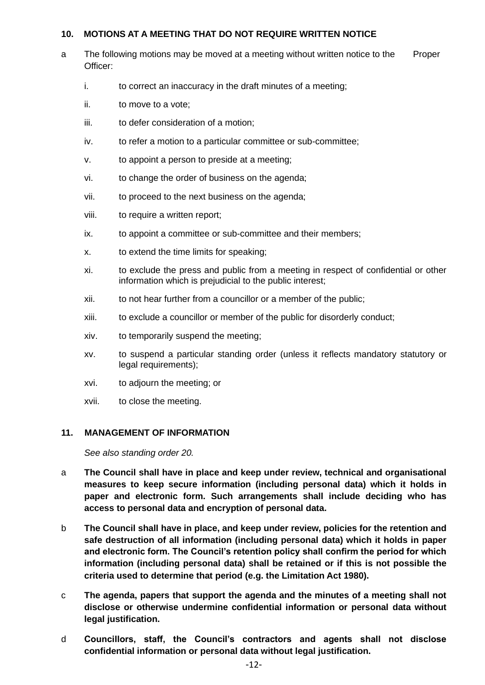# **10. MOTIONS AT A MEETING THAT DO NOT REQUIRE WRITTEN NOTICE**

- a The following motions may be moved at a meeting without written notice to the Proper Officer:
	- i. to correct an inaccuracy in the draft minutes of a meeting;
	- ii. to move to a vote;
	- iii. to defer consideration of a motion:
	- iv. to refer a motion to a particular committee or sub-committee;
	- v. to appoint a person to preside at a meeting;
	- vi. to change the order of business on the agenda;
	- vii. to proceed to the next business on the agenda;
	- viii. to require a written report;
	- ix. to appoint a committee or sub-committee and their members;
	- x. to extend the time limits for speaking;
	- xi. to exclude the press and public from a meeting in respect of confidential or other information which is prejudicial to the public interest;
	- xii. to not hear further from a councillor or a member of the public;
	- xiii. to exclude a councillor or member of the public for disorderly conduct;
	- xiv. to temporarily suspend the meeting;
	- xv. to suspend a particular standing order (unless it reflects mandatory statutory or legal requirements);
	- xvi. to adjourn the meeting; or
	- xvii. to close the meeting.

#### **11. MANAGEMENT OF INFORMATION**

*See also standing order 20.*

- a **The Council shall have in place and keep under review, technical and organisational measures to keep secure information (including personal data) which it holds in paper and electronic form. Such arrangements shall include deciding who has access to personal data and encryption of personal data.**
- b **The Council shall have in place, and keep under review, policies for the retention and safe destruction of all information (including personal data) which it holds in paper and electronic form. The Council's retention policy shall confirm the period for which information (including personal data) shall be retained or if this is not possible the criteria used to determine that period (e.g. the Limitation Act 1980).**
- c **The agenda, papers that support the agenda and the minutes of a meeting shall not disclose or otherwise undermine confidential information or personal data without legal justification.**
- d **Councillors, staff, the Council's contractors and agents shall not disclose confidential information or personal data without legal justification.**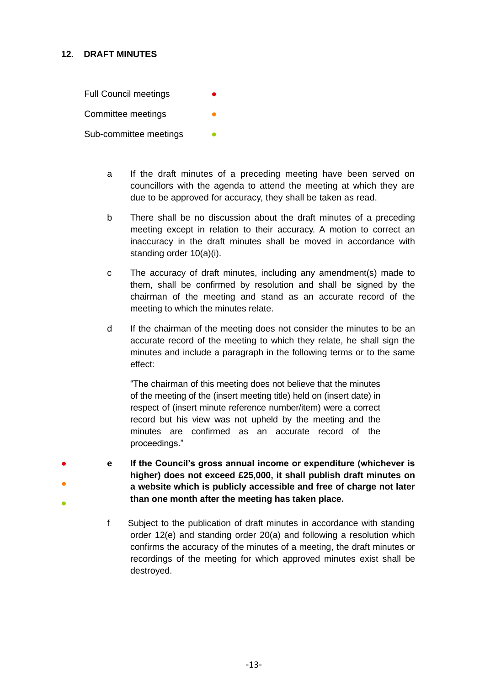# **12. DRAFT MINUTES**

**Full Council meetings** Committee meetings Sub-committee meetings

- a If the draft minutes of a preceding meeting have been served on councillors with the agenda to attend the meeting at which they are due to be approved for accuracy, they shall be taken as read.
- b There shall be no discussion about the draft minutes of a preceding meeting except in relation to their accuracy. A motion to correct an inaccuracy in the draft minutes shall be moved in accordance with standing order 10(a)(i).
- c The accuracy of draft minutes, including any amendment(s) made to them, shall be confirmed by resolution and shall be signed by the chairman of the meeting and stand as an accurate record of the meeting to which the minutes relate.
- d If the chairman of the meeting does not consider the minutes to be an accurate record of the meeting to which they relate, he shall sign the minutes and include a paragraph in the following terms or to the same effect:

"The chairman of this meeting does not believe that the minutes of the meeting of the (insert meeting title) held on (insert date) in respect of (insert minute reference number/item) were a correct record but his view was not upheld by the meeting and the minutes are confirmed as an accurate record of the proceedings."

- ● ● **e If the Council's gross annual income or expenditure (whichever is higher) does not exceed £25,000, it shall publish draft minutes on a website which is publicly accessible and free of charge not later than one month after the meeting has taken place.**
	- f Subject to the publication of draft minutes in accordance with standing order 12(e) and standing order 20(a) and following a resolution which confirms the accuracy of the minutes of a meeting, the draft minutes or recordings of the meeting for which approved minutes exist shall be destroyed.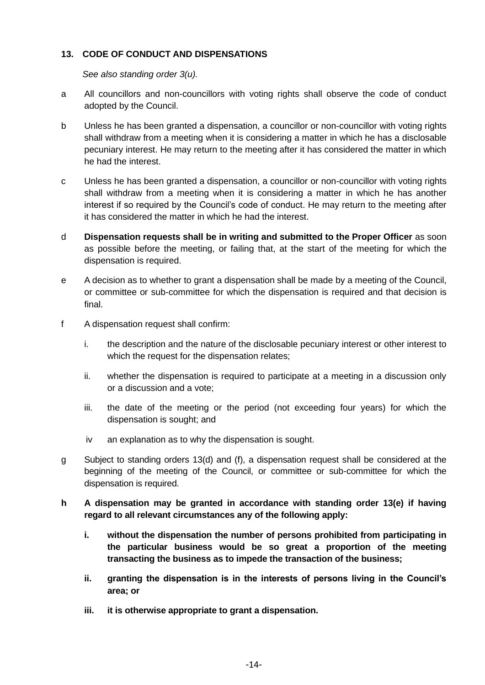# **13. CODE OF CONDUCT AND DISPENSATIONS**

*See also standing order 3(u).* 

- a All councillors and non-councillors with voting rights shall observe the code of conduct adopted by the Council.
- b Unless he has been granted a dispensation, a councillor or non-councillor with voting rights shall withdraw from a meeting when it is considering a matter in which he has a disclosable pecuniary interest. He may return to the meeting after it has considered the matter in which he had the interest.
- c Unless he has been granted a dispensation, a councillor or non-councillor with voting rights shall withdraw from a meeting when it is considering a matter in which he has another interest if so required by the Council's code of conduct. He may return to the meeting after it has considered the matter in which he had the interest.
- d **Dispensation requests shall be in writing and submitted to the Proper Officer** as soon as possible before the meeting, or failing that, at the start of the meeting for which the dispensation is required.
- e A decision as to whether to grant a dispensation shall be made by a meeting of the Council, or committee or sub-committee for which the dispensation is required and that decision is final.
- f A dispensation request shall confirm:
	- i. the description and the nature of the disclosable pecuniary interest or other interest to which the request for the dispensation relates;
	- ii. whether the dispensation is required to participate at a meeting in a discussion only or a discussion and a vote;
	- iii. the date of the meeting or the period (not exceeding four years) for which the dispensation is sought; and
	- iv an explanation as to why the dispensation is sought.
- g Subject to standing orders 13(d) and (f), a dispensation request shall be considered at the beginning of the meeting of the Council, or committee or sub-committee for which the dispensation is required.
- **h A dispensation may be granted in accordance with standing order 13(e) if having regard to all relevant circumstances any of the following apply:**
	- **i. without the dispensation the number of persons prohibited from participating in the particular business would be so great a proportion of the meeting transacting the business as to impede the transaction of the business;**
	- **ii. granting the dispensation is in the interests of persons living in the Council's area; or**
	- **iii. it is otherwise appropriate to grant a dispensation.**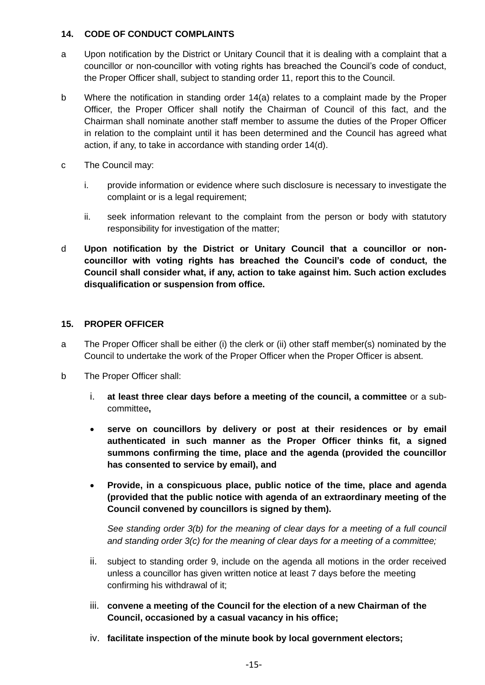# **14. CODE OF CONDUCT COMPLAINTS**

- a Upon notification by the District or Unitary Council that it is dealing with a complaint that a councillor or non-councillor with voting rights has breached the Council's code of conduct, the Proper Officer shall, subject to standing order 11, report this to the Council.
- b Where the notification in standing order 14(a) relates to a complaint made by the Proper Officer, the Proper Officer shall notify the Chairman of Council of this fact, and the Chairman shall nominate another staff member to assume the duties of the Proper Officer in relation to the complaint until it has been determined and the Council has agreed what action, if any, to take in accordance with standing order 14(d).
- c The Council may:
	- i. provide information or evidence where such disclosure is necessary to investigate the complaint or is a legal requirement;
	- ii. seek information relevant to the complaint from the person or body with statutory responsibility for investigation of the matter;
- d **Upon notification by the District or Unitary Council that a councillor or noncouncillor with voting rights has breached the Council's code of conduct, the Council shall consider what, if any, action to take against him. Such action excludes disqualification or suspension from office.**

# **15. PROPER OFFICER**

- a The Proper Officer shall be either (i) the clerk or (ii) other staff member(s) nominated by the Council to undertake the work of the Proper Officer when the Proper Officer is absent.
- b The Proper Officer shall:
	- i. **at least three clear days before a meeting of the council, a committee** or a subcommittee**,**
	- **serve on councillors by delivery or post at their residences or by email authenticated in such manner as the Proper Officer thinks fit, a signed summons confirming the time, place and the agenda (provided the councillor has consented to service by email), and**
	- **Provide, in a conspicuous place, public notice of the time, place and agenda (provided that the public notice with agenda of an extraordinary meeting of the Council convened by councillors is signed by them).**

*See standing order 3(b) for the meaning of clear days for a meeting of a full council and standing order 3(c) for the meaning of clear days for a meeting of a committee;*

- ii. subject to standing order 9, include on the agenda all motions in the order received unless a councillor has given written notice at least 7 days before the meeting confirming his withdrawal of it;
- iii. **convene a meeting of the Council for the election of a new Chairman of the Council, occasioned by a casual vacancy in his office;**
- iv. **facilitate inspection of the minute book by local government electors;**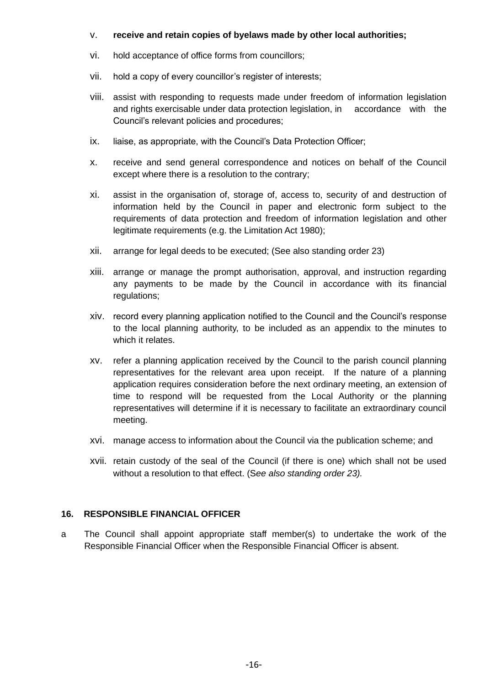#### v. **receive and retain copies of byelaws made by other local authorities;**

- vi. hold acceptance of office forms from councillors;
- vii. hold a copy of every councillor's register of interests;
- viii. assist with responding to requests made under freedom of information legislation and rights exercisable under data protection legislation, in accordance with the Council's relevant policies and procedures;
- ix. liaise, as appropriate, with the Council's Data Protection Officer;
- x. receive and send general correspondence and notices on behalf of the Council except where there is a resolution to the contrary;
- xi. assist in the organisation of, storage of, access to, security of and destruction of information held by the Council in paper and electronic form subject to the requirements of data protection and freedom of information legislation and other legitimate requirements (e.g. the Limitation Act 1980);
- xii. arrange for legal deeds to be executed; (See also standing order 23)
- xiii. arrange or manage the prompt authorisation, approval, and instruction regarding any payments to be made by the Council in accordance with its financial regulations;
- xiv. record every planning application notified to the Council and the Council's response to the local planning authority, to be included as an appendix to the minutes to which it relates.
- xv. refer a planning application received by the Council to the parish council planning representatives for the relevant area upon receipt. If the nature of a planning application requires consideration before the next ordinary meeting, an extension of time to respond will be requested from the Local Authority or the planning representatives will determine if it is necessary to facilitate an extraordinary council meeting.
- xvi. manage access to information about the Council via the publication scheme; and
- xvii. retain custody of the seal of the Council (if there is one) which shall not be used without a resolution to that effect. (S*ee also standing order 23).*

#### **16. RESPONSIBLE FINANCIAL OFFICER**

a The Council shall appoint appropriate staff member(s) to undertake the work of the Responsible Financial Officer when the Responsible Financial Officer is absent.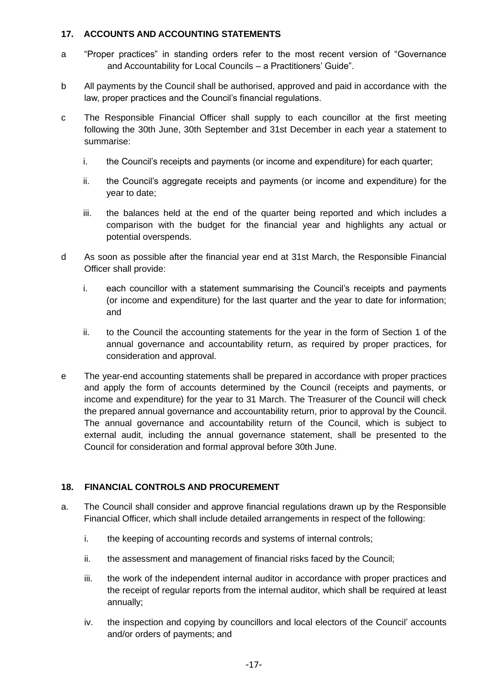# **17. ACCOUNTS AND ACCOUNTING STATEMENTS**

- a "Proper practices" in standing orders refer to the most recent version of "Governance and Accountability for Local Councils – a Practitioners' Guide".
- b All payments by the Council shall be authorised, approved and paid in accordance with the law, proper practices and the Council's financial regulations.
- c The Responsible Financial Officer shall supply to each councillor at the first meeting following the 30th June, 30th September and 31st December in each year a statement to summarise:
	- i. the Council's receipts and payments (or income and expenditure) for each quarter;
	- ii. the Council's aggregate receipts and payments (or income and expenditure) for the year to date;
	- iii. the balances held at the end of the quarter being reported and which includes a comparison with the budget for the financial year and highlights any actual or potential overspends.
- d As soon as possible after the financial year end at 31st March, the Responsible Financial Officer shall provide:
	- i. each councillor with a statement summarising the Council's receipts and payments (or income and expenditure) for the last quarter and the year to date for information; and
	- ii. to the Council the accounting statements for the year in the form of Section 1 of the annual governance and accountability return, as required by proper practices, for consideration and approval.
- e The year-end accounting statements shall be prepared in accordance with proper practices and apply the form of accounts determined by the Council (receipts and payments, or income and expenditure) for the year to 31 March. The Treasurer of the Council will check the prepared annual governance and accountability return, prior to approval by the Council. The annual governance and accountability return of the Council, which is subject to external audit, including the annual governance statement, shall be presented to the Council for consideration and formal approval before 30th June.

# **18. FINANCIAL CONTROLS AND PROCUREMENT**

- a. The Council shall consider and approve financial regulations drawn up by the Responsible Financial Officer, which shall include detailed arrangements in respect of the following:
	- i. the keeping of accounting records and systems of internal controls;
	- ii. the assessment and management of financial risks faced by the Council;
	- iii. the work of the independent internal auditor in accordance with proper practices and the receipt of regular reports from the internal auditor, which shall be required at least annually;
	- iv. the inspection and copying by councillors and local electors of the Council' accounts and/or orders of payments; and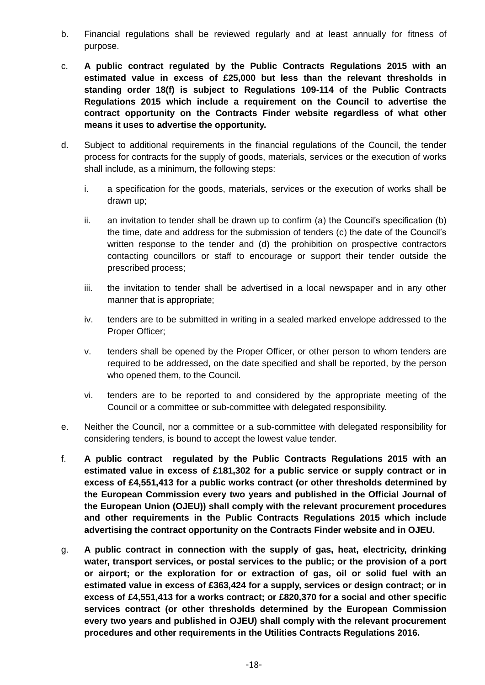- b. Financial regulations shall be reviewed regularly and at least annually for fitness of purpose.
- c. **A public contract regulated by the Public Contracts Regulations 2015 with an estimated value in excess of £25,000 but less than the relevant thresholds in standing order 18(f) is subject to Regulations 109-114 of the Public Contracts Regulations 2015 which include a requirement on the Council to advertise the contract opportunity on the Contracts Finder website regardless of what other means it uses to advertise the opportunity.**
- d. Subject to additional requirements in the financial regulations of the Council, the tender process for contracts for the supply of goods, materials, services or the execution of works shall include, as a minimum, the following steps:
	- i. a specification for the goods, materials, services or the execution of works shall be drawn up;
	- ii. an invitation to tender shall be drawn up to confirm (a) the Council's specification (b) the time, date and address for the submission of tenders (c) the date of the Council's written response to the tender and (d) the prohibition on prospective contractors contacting councillors or staff to encourage or support their tender outside the prescribed process;
	- iii. the invitation to tender shall be advertised in a local newspaper and in any other manner that is appropriate;
	- iv. tenders are to be submitted in writing in a sealed marked envelope addressed to the Proper Officer;
	- v. tenders shall be opened by the Proper Officer, or other person to whom tenders are required to be addressed, on the date specified and shall be reported, by the person who opened them, to the Council.
	- vi. tenders are to be reported to and considered by the appropriate meeting of the Council or a committee or sub-committee with delegated responsibility.
- e. Neither the Council, nor a committee or a sub-committee with delegated responsibility for considering tenders, is bound to accept the lowest value tender.
- f. **A public contract regulated by the Public Contracts Regulations 2015 with an estimated value in excess of £181,302 for a public service or supply contract or in excess of £4,551,413 for a public works contract (or other thresholds determined by the European Commission every two years and published in the Official Journal of the European Union (OJEU)) shall comply with the relevant procurement procedures and other requirements in the Public Contracts Regulations 2015 which include advertising the contract opportunity on the Contracts Finder website and in OJEU.**
- g. **A public contract in connection with the supply of gas, heat, electricity, drinking water, transport services, or postal services to the public; or the provision of a port or airport; or the exploration for or extraction of gas, oil or solid fuel with an estimated value in excess of £363,424 for a supply, services or design contract; or in excess of £4,551,413 for a works contract; or £820,370 for a social and other specific services contract (or other thresholds determined by the European Commission every two years and published in OJEU) shall comply with the relevant procurement procedures and other requirements in the Utilities Contracts Regulations 2016.**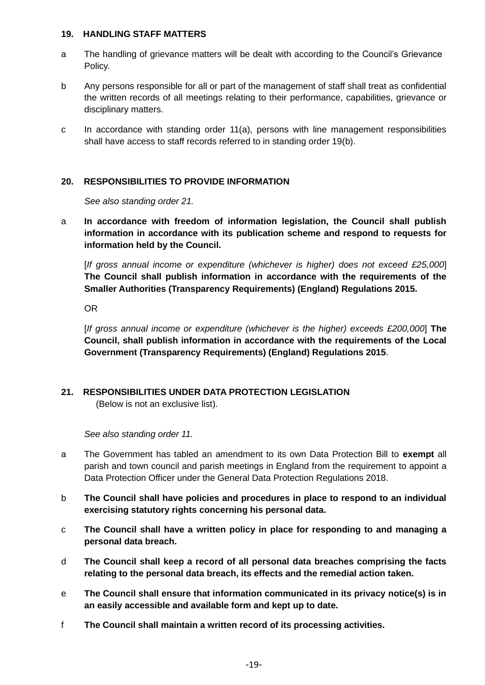#### **19. HANDLING STAFF MATTERS**

- a The handling of grievance matters will be dealt with according to the Council's Grievance Policy.
- b Any persons responsible for all or part of the management of staff shall treat as confidential the written records of all meetings relating to their performance, capabilities, grievance or disciplinary matters.
- c In accordance with standing order 11(a), persons with line management responsibilities shall have access to staff records referred to in standing order 19(b).

# **20. RESPONSIBILITIES TO PROVIDE INFORMATION**

*See also standing order 21.*

a **In accordance with freedom of information legislation, the Council shall publish information in accordance with its publication scheme and respond to requests for information held by the Council.** 

[*If gross annual income or expenditure (whichever is higher) does not exceed £25,000*] **The Council shall publish information in accordance with the requirements of the Smaller Authorities (Transparency Requirements) (England) Regulations 2015.**

OR

[*If gross annual income or expenditure (whichever is the higher) exceeds £200,000*] **The Council, shall publish information in accordance with the requirements of the Local Government (Transparency Requirements) (England) Regulations 2015**.

# **21. RESPONSIBILITIES UNDER DATA PROTECTION LEGISLATION**

(Below is not an exclusive list).

*See also standing order 11.*

- a The Government has tabled an amendment to its own Data Protection Bill to **exempt** all parish and town council and parish meetings in England from the requirement to appoint a Data Protection Officer under the General Data Protection Regulations 2018.
- b **The Council shall have policies and procedures in place to respond to an individual exercising statutory rights concerning his personal data.**
- c **The Council shall have a written policy in place for responding to and managing a personal data breach.**
- d **The Council shall keep a record of all personal data breaches comprising the facts relating to the personal data breach, its effects and the remedial action taken.**
- e **The Council shall ensure that information communicated in its privacy notice(s) is in an easily accessible and available form and kept up to date.**
- f **The Council shall maintain a written record of its processing activities.**